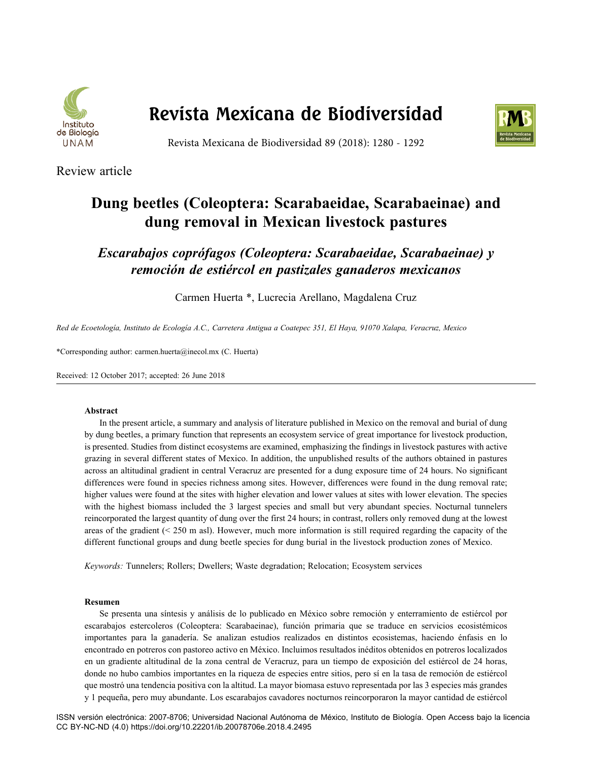

# **Revista Mexicana de Biodiversidad**



Revista Mexicana de Biodiversidad 89 (2018): 1280 - 1292

Review article

## **Dung beetles (Coleoptera: Scarabaeidae, Scarabaeinae) and dung removal in Mexican livestock pastures**

*Escarabajos coprófagos (Coleoptera: Scarabaeidae, Scarabaeinae) y remoción de estiércol en pastizales ganaderos mexicanos*

Carmen Huerta \*, Lucrecia Arellano, Magdalena Cruz

*Red de Ecoetología, Instituto de Ecología A.C., Carretera Antigua a Coatepec 351, El Haya, 91070 Xalapa, Veracruz, Mexico*

\*Corresponding author: carmen.huerta@inecol.mx (C. Huerta)

Received: 12 October 2017; accepted: 26 June 2018

## **Abstract**

In the present article, a summary and analysis of literature published in Mexico on the removal and burial of dung by dung beetles, a primary function that represents an ecosystem service of great importance for livestock production, is presented. Studies from distinct ecosystems are examined, emphasizing the findings in livestock pastures with active grazing in several different states of Mexico. In addition, the unpublished results of the authors obtained in pastures across an altitudinal gradient in central Veracruz are presented for a dung exposure time of 24 hours. No significant differences were found in species richness among sites. However, differences were found in the dung removal rate; higher values were found at the sites with higher elevation and lower values at sites with lower elevation. The species with the highest biomass included the 3 largest species and small but very abundant species. Nocturnal tunnelers reincorporated the largest quantity of dung over the first 24 hours; in contrast, rollers only removed dung at the lowest areas of the gradient  $( $250 \text{ m}$  as)$ . However, much more information is still required regarding the capacity of the different functional groups and dung beetle species for dung burial in the livestock production zones of Mexico.

*Keywords:* Tunnelers; Rollers; Dwellers; Waste degradation; Relocation; Ecosystem services

#### **Resumen**

Se presenta una síntesis y análisis de lo publicado en México sobre remoción y enterramiento de estiércol por escarabajos estercoleros (Coleoptera: Scarabaeinae), función primaria que se traduce en servicios ecosistémicos importantes para la ganadería. Se analizan estudios realizados en distintos ecosistemas, haciendo énfasis en lo encontrado en potreros con pastoreo activo en México. Incluimos resultados inéditos obtenidos en potreros localizados en un gradiente altitudinal de la zona central de Veracruz, para un tiempo de exposición del estiércol de 24 horas, donde no hubo cambios importantes en la riqueza de especies entre sitios, pero sí en la tasa de remoción de estiércol que mostró una tendencia positiva con la altitud. La mayor biomasa estuvo representada por las 3 especies más grandes y 1 pequeña, pero muy abundante. Los escarabajos cavadores nocturnos reincorporaron la mayor cantidad de estiércol

ISSN versión electrónica: 2007-8706; Universidad Nacional Autónoma de México, Instituto de Biología. Open Access bajo la licencia CC BY-NC-ND (4.0) https://doi.org/10.22201/ib.20078706e.2018.4.2495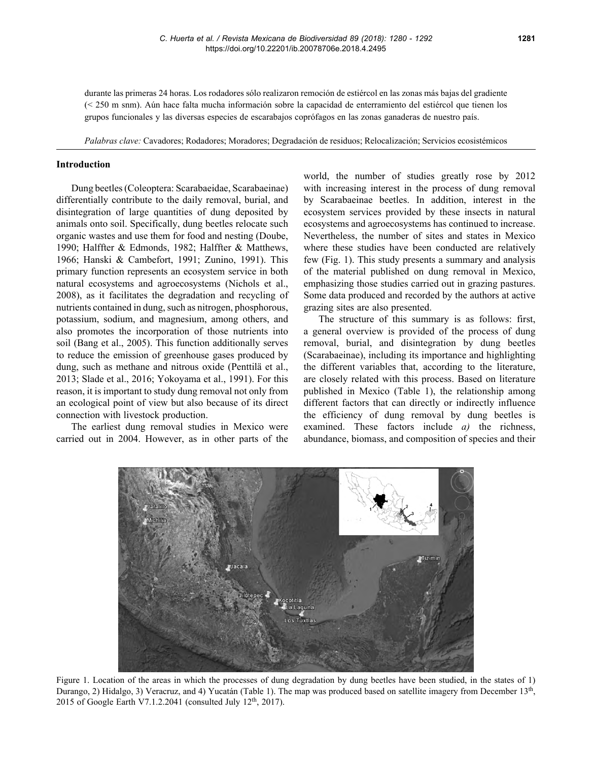durante las primeras 24 horas. Los rodadores sólo realizaron remoción de estiércol en las zonas más bajas del gradiente (< 250 m snm). Aún hace falta mucha información sobre la capacidad de enterramiento del estiércol que tienen los grupos funcionales y las diversas especies de escarabajos coprófagos en las zonas ganaderas de nuestro país.

*Palabras clave:* Cavadores; Rodadores; Moradores; Degradación de residuos; Relocalización; Servicios ecosistémicos

#### **Introduction**

Dung beetles (Coleoptera: Scarabaeidae, Scarabaeinae) differentially contribute to the daily removal, burial, and disintegration of large quantities of dung deposited by animals onto soil. Specifically, dung beetles relocate such organic wastes and use them for food and nesting (Doube, 1990; Halffter & Edmonds, 1982; Halffter & Matthews, 1966; Hanski & Cambefort, 1991; Zunino, 1991). This primary function represents an ecosystem service in both natural ecosystems and agroecosystems (Nichols et al., 2008), as it facilitates the degradation and recycling of nutrients contained in dung, such as nitrogen, phosphorous, potassium, sodium, and magnesium, among others, and also promotes the incorporation of those nutrients into soil (Bang et al., 2005). This function additionally serves to reduce the emission of greenhouse gases produced by dung, such as methane and nitrous oxide (Penttilä et al., 2013; Slade et al., 2016; Yokoyama et al., 1991). For this reason, it is important to study dung removal not only from an ecological point of view but also because of its direct connection with livestock production.

The earliest dung removal studies in Mexico were carried out in 2004. However, as in other parts of the world, the number of studies greatly rose by 2012 with increasing interest in the process of dung removal by Scarabaeinae beetles. In addition, interest in the ecosystem services provided by these insects in natural ecosystems and agroecosystems has continued to increase. Nevertheless, the number of sites and states in Mexico where these studies have been conducted are relatively few (Fig. 1). This study presents a summary and analysis of the material published on dung removal in Mexico, emphasizing those studies carried out in grazing pastures. Some data produced and recorded by the authors at active grazing sites are also presented.

The structure of this summary is as follows: first, a general overview is provided of the process of dung removal, burial, and disintegration by dung beetles (Scarabaeinae), including its importance and highlighting the different variables that, according to the literature, are closely related with this process. Based on literature published in Mexico (Table 1), the relationship among different factors that can directly or indirectly influence the efficiency of dung removal by dung beetles is examined. These factors include *a)* the richness, abundance, biomass, and composition of species and their



Figure 1. Location of the areas in which the processes of dung degradation by dung beetles have been studied, in the states of 1) Durango, 2) Hidalgo, 3) Veracruz, and 4) Yucatán (Table 1). The map was produced based on satellite imagery from December 13<sup>th</sup>, 2015 of Google Earth V7.1.2.2041 (consulted July  $12<sup>th</sup>$ , 2017).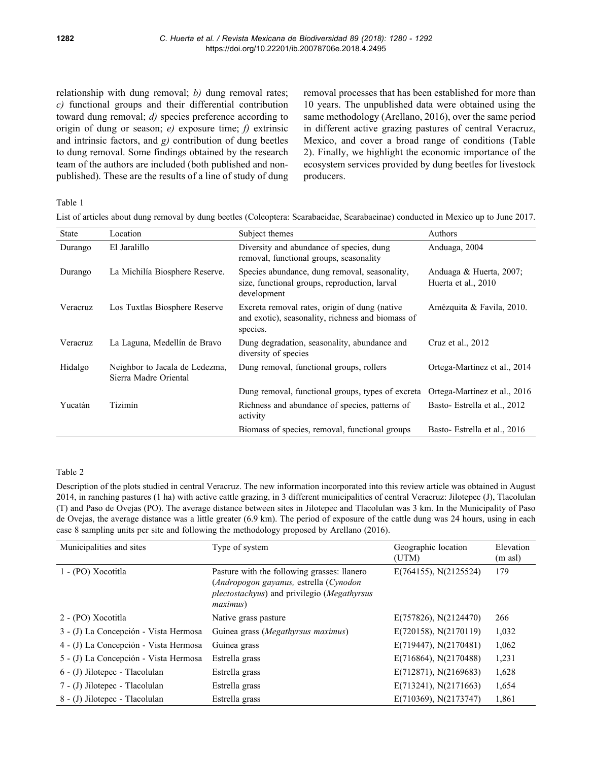relationship with dung removal; *b)* dung removal rates; *c)* functional groups and their differential contribution toward dung removal; *d)* species preference according to origin of dung or season; *e)* exposure time; *f)* extrinsic and intrinsic factors, and *g)* contribution of dung beetles to dung removal. Some findings obtained by the research team of the authors are included (both published and nonpublished). These are the results of a line of study of dung removal processes that has been established for more than 10 years. The unpublished data were obtained using the same methodology (Arellano, 2016), over the same period in different active grazing pastures of central Veracruz, Mexico, and cover a broad range of conditions (Table 2). Finally, we highlight the economic importance of the ecosystem services provided by dung beetles for livestock producers.

Table 1

List of articles about dung removal by dung beetles (Coleoptera: Scarabaeidae, Scarabaeinae) conducted in Mexico up to June 2017.

| <b>State</b> | Location                                                | Subject themes                                                                                                 | Authors                                        |
|--------------|---------------------------------------------------------|----------------------------------------------------------------------------------------------------------------|------------------------------------------------|
| Durango      | El Jaralillo                                            | Diversity and abundance of species, dung<br>removal, functional groups, seasonality                            | Anduaga, 2004                                  |
| Durango      | La Michilía Biosphere Reserve.                          | Species abundance, dung removal, seasonality,<br>size, functional groups, reproduction, larval<br>development  | Anduaga & Huerta, 2007;<br>Huerta et al., 2010 |
| Veracruz     | Los Tuxtlas Biosphere Reserve                           | Excreta removal rates, origin of dung (native<br>and exotic), seasonality, richness and biomass of<br>species. | Amézquita & Favila, 2010.                      |
| Veracruz     | La Laguna, Medellín de Bravo                            | Dung degradation, seasonality, abundance and<br>diversity of species                                           | Cruz et al., 2012                              |
| Hidalgo      | Neighbor to Jacala de Ledezma,<br>Sierra Madre Oriental | Dung removal, functional groups, rollers                                                                       | Ortega-Martínez et al., 2014                   |
|              |                                                         | Dung removal, functional groups, types of excreta                                                              | Ortega-Martínez et al., 2016                   |
| Yucatán      | Tizimín                                                 | Richness and abundance of species, patterns of<br>activity                                                     | Basto- Estrella et al., 2012                   |
|              |                                                         | Biomass of species, removal, functional groups                                                                 | Basto-Estrella et al., 2016                    |

## Table 2

Description of the plots studied in central Veracruz. The new information incorporated into this review article was obtained in August 2014, in ranching pastures (1 ha) with active cattle grazing, in 3 different municipalities of central Veracruz: Jilotepec (J), Tlacolulan (T) and Paso de Ovejas (PO). The average distance between sites in Jilotepec and Tlacolulan was 3 km. In the Municipality of Paso de Ovejas, the average distance was a little greater (6.9 km). The period of exposure of the cattle dung was 24 hours, using in each case 8 sampling units per site and following the methodology proposed by Arellano (2016).

| Municipalities and sites              | Type of system                                                                                                                                           | Geographic location<br>(UTM) | Elevation<br>$(m \text{ as} l)$ |
|---------------------------------------|----------------------------------------------------------------------------------------------------------------------------------------------------------|------------------------------|---------------------------------|
| 1 - (PO) Xocotitla                    | Pasture with the following grasses: llanero<br>(Andropogon gayanus, estrella (Cynodon<br>plectostachyus) and privilegio (Megathyrsus<br><i>maximus</i> ) | $E(764155)$ , N(2125524)     | 179                             |
| 2 - (PO) Xocotitla                    | Native grass pasture                                                                                                                                     | $E(757826)$ , N(2124470)     | 266                             |
| 3 - (J) La Concepción - Vista Hermosa | Guinea grass (Megathyrsus maximus)                                                                                                                       | $E(720158)$ , N(2170119)     | 1,032                           |
| 4 - (J) La Concepción - Vista Hermosa | Guinea grass                                                                                                                                             | E(719447), N(2170481)        | 1,062                           |
| 5 - (J) La Concepción - Vista Hermosa | Estrella grass                                                                                                                                           | $E(716864)$ , N(2170488)     | 1,231                           |
| 6 - (J) Jilotepec - Tlacolulan        | Estrella grass                                                                                                                                           | $E(712871)$ , N(2169683)     | 1,628                           |
| 7 - (J) Jilotepec - Tlacolulan        | Estrella grass                                                                                                                                           | $E(713241)$ , N(2171663)     | 1,654                           |
| 8 - (J) Jilotepec - Tlacolulan        | Estrella grass                                                                                                                                           | $E(710369)$ , N(2173747)     | 1,861                           |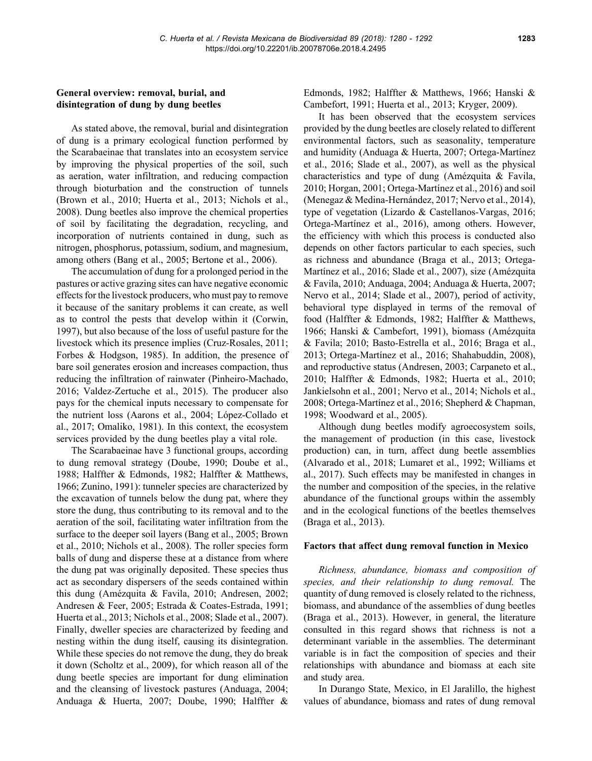## **General overview: removal, burial, and disintegration of dung by dung beetles**

As stated above, the removal, burial and disintegration of dung is a primary ecological function performed by the Scarabaeinae that translates into an ecosystem service by improving the physical properties of the soil, such as aeration, water infiltration, and reducing compaction through bioturbation and the construction of tunnels (Brown et al., 2010; Huerta et al., 2013; Nichols et al., 2008). Dung beetles also improve the chemical properties of soil by facilitating the degradation, recycling, and incorporation of nutrients contained in dung, such as nitrogen, phosphorus, potassium, sodium, and magnesium, among others (Bang et al., 2005; Bertone et al., 2006).

The accumulation of dung for a prolonged period in the pastures or active grazing sites can have negative economic effects for the livestock producers, who must pay to remove it because of the sanitary problems it can create, as well as to control the pests that develop within it (Corwin, 1997), but also because of the loss of useful pasture for the livestock which its presence implies (Cruz-Rosales, 2011; Forbes & Hodgson, 1985). In addition, the presence of bare soil generates erosion and increases compaction, thus reducing the infiltration of rainwater (Pinheiro-Machado, 2016; Valdez-Zertuche et al., 2015). The producer also pays for the chemical inputs necessary to compensate for the nutrient loss (Aarons et al., 2004; López-Collado et al., 2017; Omaliko, 1981). In this context, the ecosystem services provided by the dung beetles play a vital role.

The Scarabaeinae have 3 functional groups, according to dung removal strategy (Doube, 1990; Doube et al., 1988; Halffter & Edmonds, 1982; Halffter & Matthews, 1966; Zunino, 1991): tunneler species are characterized by the excavation of tunnels below the dung pat, where they store the dung, thus contributing to its removal and to the aeration of the soil, facilitating water infiltration from the surface to the deeper soil layers (Bang et al., 2005; Brown et al., 2010; Nichols et al., 2008). The roller species form balls of dung and disperse these at a distance from where the dung pat was originally deposited. These species thus act as secondary dispersers of the seeds contained within this dung (Amézquita & Favila, 2010; Andresen, 2002; Andresen & Feer, 2005; Estrada & Coates-Estrada, 1991; Huerta et al., 2013; Nichols et al., 2008; Slade et al., 2007). Finally, dweller species are characterized by feeding and nesting within the dung itself, causing its disintegration. While these species do not remove the dung, they do break it down (Scholtz et al., 2009), for which reason all of the dung beetle species are important for dung elimination and the cleansing of livestock pastures (Anduaga, 2004; Anduaga & Huerta, 2007; Doube, 1990; Halffter & Edmonds, 1982; Halffter & Matthews, 1966; Hanski & Cambefort, 1991; Huerta et al., 2013; Kryger, 2009).

It has been observed that the ecosystem services provided by the dung beetles are closely related to different environmental factors, such as seasonality, temperature and humidity (Anduaga & Huerta, 2007; Ortega-Martínez et al., 2016; Slade et al., 2007), as well as the physical characteristics and type of dung (Amézquita & Favila, 2010; Horgan, 2001; Ortega-Martínez et al., 2016) and soil (Menegaz & Medina-Hernández, 2017; Nervo et al., 2014), type of vegetation (Lizardo & Castellanos-Vargas, 2016; Ortega-Martínez et al., 2016), among others. However, the efficiency with which this process is conducted also depends on other factors particular to each species, such as richness and abundance (Braga et al., 2013; Ortega-Martínez et al., 2016; Slade et al., 2007), size (Amézquita & Favila, 2010; Anduaga, 2004; Anduaga & Huerta, 2007; Nervo et al., 2014; Slade et al., 2007), period of activity, behavioral type displayed in terms of the removal of food (Halffter & Edmonds, 1982; Halffter & Matthews, 1966; Hanski & Cambefort, 1991), biomass (Amézquita & Favila; 2010; Basto-Estrella et al., 2016; Braga et al., 2013; Ortega-Martínez et al., 2016; Shahabuddin, 2008), and reproductive status (Andresen, 2003; Carpaneto et al., 2010; Halffter & Edmonds, 1982; Huerta et al., 2010; Jankielsohn et al., 2001; Nervo et al., 2014; Nichols et al., 2008; Ortega-Martínez et al., 2016; Shepherd & Chapman, 1998; Woodward et al., 2005).

Although dung beetles modify agroecosystem soils, the management of production (in this case, livestock production) can, in turn, affect dung beetle assemblies (Alvarado et al., 2018; Lumaret et al., 1992; Williams et al., 2017). Such effects may be manifested in changes in the number and composition of the species, in the relative abundance of the functional groups within the assembly and in the ecological functions of the beetles themselves (Braga et al., 2013).

#### **Factors that affect dung removal function in Mexico**

*Richness, abundance, biomass and composition of species, and their relationship to dung removal.* The quantity of dung removed is closely related to the richness, biomass, and abundance of the assemblies of dung beetles (Braga et al., 2013). However, in general, the literature consulted in this regard shows that richness is not a determinant variable in the assemblies. The determinant variable is in fact the composition of species and their relationships with abundance and biomass at each site and study area.

In Durango State, Mexico, in El Jaralillo, the highest values of abundance, biomass and rates of dung removal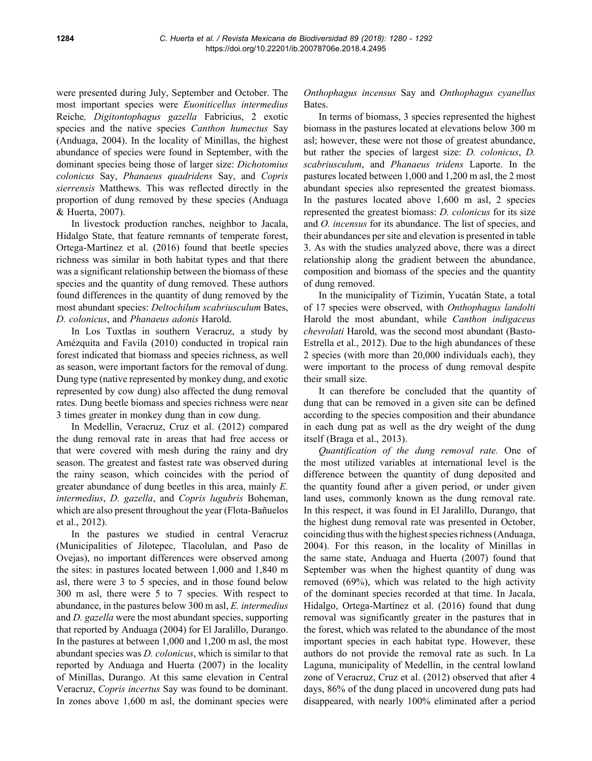were presented during July, September and October. The most important species were *Euoniticellus intermedius* Reiche*, Digitontophagus gazella* Fabricius, 2 exotic species and the native species *Canthon humectus* Say (Anduaga, 2004). In the locality of Minillas, the highest abundance of species were found in September, with the dominant species being those of larger size: *Dichotomius colonicus* Say, *Phanaeus quadridens* Say, and *Copris sierrensis* Matthews. This was reflected directly in the proportion of dung removed by these species (Anduaga & Huerta, 2007).

In livestock production ranches, neighbor to Jacala, Hidalgo State, that feature remnants of temperate forest, Ortega-Martínez et al. (2016) found that beetle species richness was similar in both habitat types and that there was a significant relationship between the biomass of these species and the quantity of dung removed. These authors found differences in the quantity of dung removed by the most abundant species: *Deltochilum scabriusculum* Bates, *D. colonicus*, and *Phanaeus adonis* Harold.

In Los Tuxtlas in southern Veracruz, a study by Amézquita and Favila (2010) conducted in tropical rain forest indicated that biomass and species richness, as well as season, were important factors for the removal of dung. Dung type (native represented by monkey dung, and exotic represented by cow dung) also affected the dung removal rates. Dung beetle biomass and species richness were near 3 times greater in monkey dung than in cow dung.

In Medellin, Veracruz, Cruz et al. (2012) compared the dung removal rate in areas that had free access or that were covered with mesh during the rainy and dry season. The greatest and fastest rate was observed during the rainy season, which coincides with the period of greater abundance of dung beetles in this area, mainly *E. intermedius*, *D. gazella*, and *Copris lugubris* Boheman, which are also present throughout the year (Flota-Bañuelos et al., 2012).

In the pastures we studied in central Veracruz (Municipalities of Jilotepec, Tlacolulan, and Paso de Ovejas), no important differences were observed among the sites: in pastures located between 1,000 and 1,840 m asl, there were 3 to 5 species, and in those found below 300 m asl, there were 5 to 7 species. With respect to abundance, in the pastures below 300 m asl, *E. intermedius* and *D. gazella* were the most abundant species, supporting that reported by Anduaga (2004) for El Jaralillo, Durango. In the pastures at between 1,000 and 1,200 m asl, the most abundant species was *D. colonicus*, which is similar to that reported by Anduaga and Huerta (2007) in the locality of Minillas, Durango. At this same elevation in Central Veracruz, *Copris incertus* Say was found to be dominant. In zones above 1,600 m asl, the dominant species were

*Onthophagus incensus* Say and *Onthophagus cyanellus* Bates.

In terms of biomass, 3 species represented the highest biomass in the pastures located at elevations below 300 m asl; however, these were not those of greatest abundance, but rather the species of largest size: *D. colonicus*, *D. scabriusculum*, and *Phanaeus tridens* Laporte. In the pastures located between 1,000 and 1,200 m asl, the 2 most abundant species also represented the greatest biomass. In the pastures located above 1,600 m asl, 2 species represented the greatest biomass: *D. colonicus* for its size and *O. incensus* for its abundance. The list of species, and their abundances per site and elevation is presented in table 3. As with the studies analyzed above, there was a direct relationship along the gradient between the abundance, composition and biomass of the species and the quantity of dung removed.

In the municipality of Tizimín, Yucatán State, a total of 17 species were observed, with *Onthophagus landolti* Harold the most abundant, while *Canthon indigaceus chevrolati* Harold, was the second most abundant (Basto-Estrella et al., 2012). Due to the high abundances of these 2 species (with more than 20,000 individuals each), they were important to the process of dung removal despite their small size.

It can therefore be concluded that the quantity of dung that can be removed in a given site can be defined according to the species composition and their abundance in each dung pat as well as the dry weight of the dung itself (Braga et al., 2013).

*Quantification of the dung removal rate.* One of the most utilized variables at international level is the difference between the quantity of dung deposited and the quantity found after a given period, or under given land uses, commonly known as the dung removal rate. In this respect, it was found in El Jaralillo, Durango, that the highest dung removal rate was presented in October, coinciding thus with the highest species richness (Anduaga, 2004). For this reason, in the locality of Minillas in the same state, Anduaga and Huerta (2007) found that September was when the highest quantity of dung was removed (69%), which was related to the high activity of the dominant species recorded at that time. In Jacala, Hidalgo, Ortega-Martínez et al. (2016) found that dung removal was significantly greater in the pastures that in the forest, which was related to the abundance of the most important species in each habitat type. However, these authors do not provide the removal rate as such. In La Laguna, municipality of Medellín, in the central lowland zone of Veracruz, Cruz et al. (2012) observed that after 4 days, 86% of the dung placed in uncovered dung pats had disappeared, with nearly 100% eliminated after a period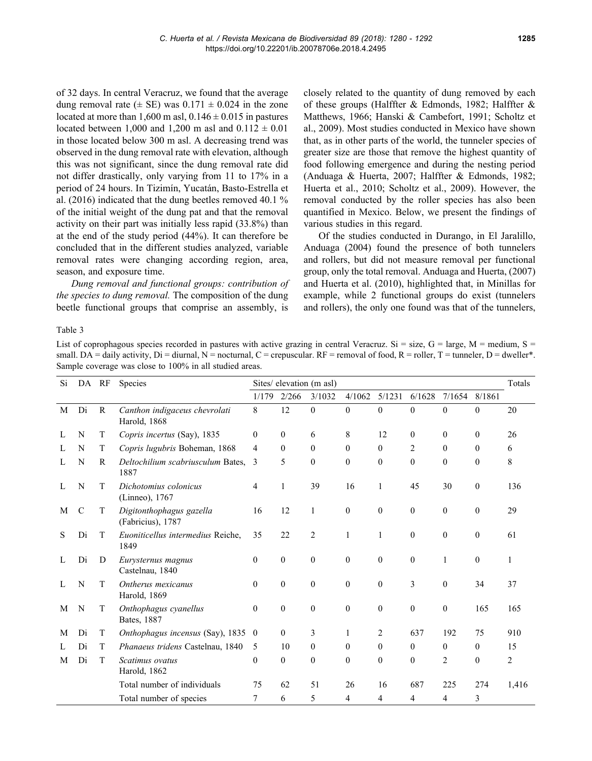of 32 days. In central Veracruz, we found that the average dung removal rate ( $\pm$  SE) was 0.171  $\pm$  0.024 in the zone located at more than 1,600 m asl,  $0.146 \pm 0.015$  in pastures located between 1,000 and 1,200 m asl and  $0.112 \pm 0.01$ in those located below 300 m asl. A decreasing trend was observed in the dung removal rate with elevation, although this was not significant, since the dung removal rate did not differ drastically, only varying from 11 to 17% in a period of 24 hours. In Tizimín, Yucatán, Basto-Estrella et al. (2016) indicated that the dung beetles removed 40.1 % of the initial weight of the dung pat and that the removal activity on their part was initially less rapid (33.8%) than at the end of the study period (44%). It can therefore be concluded that in the different studies analyzed, variable removal rates were changing according region, area, season, and exposure time.

*Dung removal and functional groups: contribution of the species to dung removal.* The composition of the dung beetle functional groups that comprise an assembly, is closely related to the quantity of dung removed by each of these groups (Halffter & Edmonds, 1982; Halffter & Matthews, 1966; Hanski & Cambefort, 1991; Scholtz et al., 2009). Most studies conducted in Mexico have shown that, as in other parts of the world, the tunneler species of greater size are those that remove the highest quantity of food following emergence and during the nesting period (Anduaga & Huerta, 2007; Halffter & Edmonds, 1982; Huerta et al., 2010; Scholtz et al., 2009). However, the removal conducted by the roller species has also been quantified in Mexico. Below, we present the findings of various studies in this regard.

Of the studies conducted in Durango, in El Jaralillo, Anduaga (2004) found the presence of both tunnelers and rollers, but did not measure removal per functional group, only the total removal. Anduaga and Huerta, (2007) and Huerta et al. (2010), highlighted that, in Minillas for example, while 2 functional groups do exist (tunnelers and rollers), the only one found was that of the tunnelers,

Table 3

List of coprophagous species recorded in pastures with active grazing in central Veracruz. Si = size,  $G = \text{large}$ ,  $M = \text{medium}$ ,  $S =$ small. DA = daily activity, Di = diurnal, N = nocturnal, C = crepuscular. RF = removal of food, R = roller, T = tunneler, D = dweller\*. Sample coverage was close to 100% in all studied areas.

| Si | DA RF         |              | <b>Species</b>                                | Sites/ elevation (m asl) |                  |                  |                  | Totals       |                  |                |                  |       |
|----|---------------|--------------|-----------------------------------------------|--------------------------|------------------|------------------|------------------|--------------|------------------|----------------|------------------|-------|
|    |               |              |                                               | 1/179                    | 2/266            | 3/1032           | 4/1062           | 5/1231       | 6/1628           | 7/1654         | 8/1861           |       |
| M  | Di            | $\mathbb{R}$ | Canthon indigaceus chevrolati<br>Harold, 1868 | 8                        | 12               | $\boldsymbol{0}$ | $\mathbf{0}$     | $\mathbf{0}$ | $\mathbf{0}$     | $\mathbf{0}$   | $\mathbf{0}$     | 20    |
| L  | N             | T            | Copris incertus (Say), 1835                   | $\theta$                 | $\theta$         | 6                | 8                | 12           | $\mathbf{0}$     | $\theta$       | $\theta$         | 26    |
| L  | N             | T            | Copris lugubris Boheman, 1868                 | 4                        | $\mathbf{0}$     | $\overline{0}$   | $\theta$         | $\mathbf{0}$ | 2                | $\theta$       | 0                | 6     |
|    | N             | R            | Deltochilium scabriusculum Bates,<br>1887     | 3                        | 5                | $\mathbf{0}$     | $\theta$         | $\theta$     | $\theta$         | $\mathbf{0}$   | $\theta$         | 8     |
| Ι. | N             | T            | Dichotomius colonicus<br>(Linneo), 1767       | 4                        | 1                | 39               | 16               | 1            | 45               | 30             | $\mathbf{0}$     | 136   |
| M  | $\mathcal{C}$ | T            | Digitonthophagus gazella<br>(Fabricius), 1787 | 16                       | 12               | 1                | $\mathbf{0}$     | $\theta$     | $\theta$         | $\mathbf{0}$   | $\theta$         | 29    |
| S  | Di            | T            | Euoniticellus intermedius Reiche,<br>1849     | 35                       | 22               | 2                | 1                | 1            | $\theta$         | $\mathbf{0}$   | $\mathbf{0}$     | 61    |
| L  | Di            | D            | Eurysternus magnus<br>Castelnau, 1840         | $\boldsymbol{0}$         | $\boldsymbol{0}$ | $\overline{0}$   | $\boldsymbol{0}$ | $\theta$     | $\boldsymbol{0}$ | 1              | $\boldsymbol{0}$ | 1     |
|    | N             | T            | Ontherus mexicanus<br>Harold, 1869            | $\mathbf{0}$             | $\theta$         | $\overline{0}$   | $\theta$         | $\theta$     | 3                | $\mathbf{0}$   | 34               | 37    |
| M  | N             | T            | Onthophagus cyanellus<br>Bates, 1887          | $\mathbf{0}$             | $\mathbf{0}$     | $\mathbf{0}$     | $\theta$         | $\theta$     | $\mathbf{0}$     | $\mathbf{0}$   | 165              | 165   |
| М  | Di            | T            | Onthophagus incensus (Say), 1835              | $\boldsymbol{0}$         | $\theta$         | 3                | 1                | 2            | 637              | 192            | 75               | 910   |
|    | Di            | T            | Phanaeus tridens Castelnau, 1840              | 5                        | 10               | $\boldsymbol{0}$ | $\overline{0}$   | $\bf{0}$     | 0                | 0              | 0                | 15    |
| M  | Di            | T            | Scatimus ovatus<br>Harold, 1862               | $\theta$                 | $\theta$         | $\mathbf{0}$     | $\theta$         | $\theta$     | $\theta$         | $\overline{c}$ | $\boldsymbol{0}$ | 2     |
|    |               |              | Total number of individuals                   | 75                       | 62               | 51               | 26               | 16           | 687              | 225            | 274              | 1,416 |
|    |               |              | Total number of species                       |                          | 6                | 5                | 4                | 4            | 4                | 4              | 3                |       |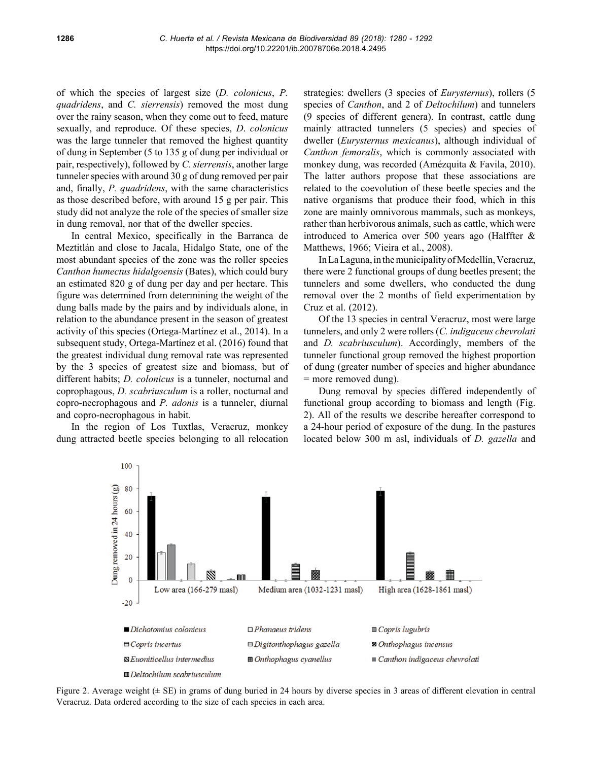of which the species of largest size (*D. colonicus*, *P. quadridens*, and *C. sierrensis*) removed the most dung over the rainy season, when they come out to feed, mature sexually, and reproduce. Of these species, *D*. *colonicus* was the large tunneler that removed the highest quantity of dung in September (5 to 135 g of dung per individual or pair, respectively), followed by *C. sierrensis*, another large tunneler species with around 30 g of dung removed per pair and, finally, *P. quadridens*, with the same characteristics as those described before, with around 15 g per pair. This study did not analyze the role of the species of smaller size in dung removal, nor that of the dweller species.

In central Mexico, specifically in the Barranca de Meztitlán and close to Jacala, Hidalgo State, one of the most abundant species of the zone was the roller species *Canthon humectus hidalgoensis* (Bates), which could bury an estimated 820 g of dung per day and per hectare. This figure was determined from determining the weight of the dung balls made by the pairs and by individuals alone, in relation to the abundance present in the season of greatest activity of this species (Ortega-Martínez et al., 2014). In a subsequent study, Ortega-Martínez et al. (2016) found that the greatest individual dung removal rate was represented by the 3 species of greatest size and biomass, but of different habits; *D. colonicus* is a tunneler, nocturnal and coprophagous, *D. scabriusculum* is a roller, nocturnal and copro-necrophagous and *P. adonis* is a tunneler, diurnal and copro-necrophagous in habit.

In the region of Los Tuxtlas, Veracruz, monkey dung attracted beetle species belonging to all relocation strategies: dwellers (3 species of *Eurysternus*), rollers (5 species of *Canthon*, and 2 of *Deltochilum*) and tunnelers (9 species of different genera). In contrast, cattle dung mainly attracted tunnelers (5 species) and species of dweller (*Eurysternus mexicanus*), although individual of *Canthon femoralis*, which is commonly associated with monkey dung, was recorded (Amézquita & Favila, 2010). The latter authors propose that these associations are related to the coevolution of these beetle species and the native organisms that produce their food, which in this zone are mainly omnivorous mammals, such as monkeys, rather than herbivorous animals, such as cattle, which were introduced to America over 500 years ago (Halffter & Matthews, 1966; Vieira et al., 2008).

In La Laguna, in the municipality of Medellín, Veracruz, there were 2 functional groups of dung beetles present; the tunnelers and some dwellers, who conducted the dung removal over the 2 months of field experimentation by Cruz et al. (2012).

Of the 13 species in central Veracruz, most were large tunnelers, and only 2 were rollers (*C. indigaceus chevrolati* and *D. scabriusculum*). Accordingly, members of the tunneler functional group removed the highest proportion of dung (greater number of species and higher abundance = more removed dung).

Dung removal by species differed independently of functional group according to biomass and length (Fig. 2). All of the results we describe hereafter correspond to a 24-hour period of exposure of the dung. In the pastures located below 300 m asl, individuals of *D. gazella* and



Figure 2. Average weight (± SE) in grams of dung buried in 24 hours by diverse species in 3 areas of different elevation in central Veracruz. Data ordered according to the size of each species in each area.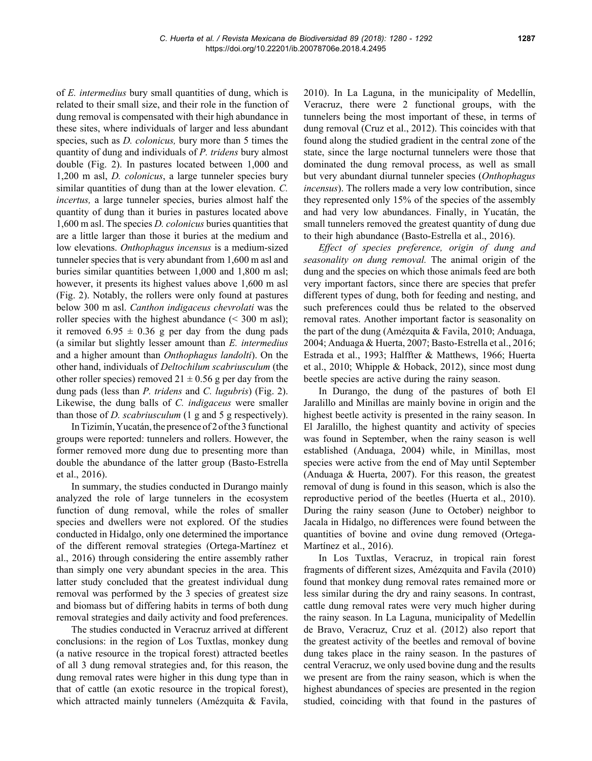of *E. intermedius* bury small quantities of dung, which is related to their small size, and their role in the function of dung removal is compensated with their high abundance in these sites, where individuals of larger and less abundant species, such as *D. colonicus,* bury more than 5 times the quantity of dung and individuals of *P. tridens* bury almost double (Fig. 2). In pastures located between 1,000 and 1,200 m asl, *D. colonicus*, a large tunneler species bury similar quantities of dung than at the lower elevation. *C. incertus,* a large tunneler species, buries almost half the quantity of dung than it buries in pastures located above 1,600 m asl. The species *D. colonicus* buries quantities that are a little larger than those it buries at the medium and low elevations. *Onthophagus incensus* is a medium-sized tunneler species that is very abundant from 1,600 m asl and buries similar quantities between 1,000 and 1,800 m asl; however, it presents its highest values above 1,600 m asl (Fig. 2). Notably, the rollers were only found at pastures below 300 m asl. *Canthon indigaceus chevrolati* was the roller species with the highest abundance  $( $300 \text{ m } \text{as}$ );$ it removed  $6.95 \pm 0.36$  g per day from the dung pads (a similar but slightly lesser amount than *E. intermedius*  and a higher amount than *Onthophagus landolti*). On the other hand, individuals of *Deltochilum scabriusculum* (the other roller species) removed  $21 \pm 0.56$  g per day from the dung pads (less than *P. tridens* and *C. lugubris*) (Fig. 2). Likewise, the dung balls of *C. indigaceus* were smaller than those of *D. scabriusculum* (1 g and 5 g respectively).

In Tizimín, Yucatán, the presence of 2 of the 3 functional groups were reported: tunnelers and rollers. However, the former removed more dung due to presenting more than double the abundance of the latter group (Basto-Estrella et al., 2016).

In summary, the studies conducted in Durango mainly analyzed the role of large tunnelers in the ecosystem function of dung removal, while the roles of smaller species and dwellers were not explored. Of the studies conducted in Hidalgo, only one determined the importance of the different removal strategies (Ortega-Martínez et al., 2016) through considering the entire assembly rather than simply one very abundant species in the area. This latter study concluded that the greatest individual dung removal was performed by the 3 species of greatest size and biomass but of differing habits in terms of both dung removal strategies and daily activity and food preferences.

The studies conducted in Veracruz arrived at different conclusions: in the region of Los Tuxtlas, monkey dung (a native resource in the tropical forest) attracted beetles of all 3 dung removal strategies and, for this reason, the dung removal rates were higher in this dung type than in that of cattle (an exotic resource in the tropical forest), which attracted mainly tunnelers (Amézquita & Favila, 2010). In La Laguna, in the municipality of Medellín, Veracruz, there were 2 functional groups, with the tunnelers being the most important of these, in terms of dung removal (Cruz et al., 2012). This coincides with that found along the studied gradient in the central zone of the state, since the large nocturnal tunnelers were those that dominated the dung removal process, as well as small but very abundant diurnal tunneler species (*Onthophagus incensus*). The rollers made a very low contribution, since they represented only 15% of the species of the assembly and had very low abundances. Finally, in Yucatán, the small tunnelers removed the greatest quantity of dung due to their high abundance (Basto-Estrella et al., 2016).

*Effect of species preference, origin of dung and seasonality on dung removal.* The animal origin of the dung and the species on which those animals feed are both very important factors, since there are species that prefer different types of dung, both for feeding and nesting, and such preferences could thus be related to the observed removal rates. Another important factor is seasonality on the part of the dung (Amézquita & Favila, 2010; Anduaga, 2004; Anduaga & Huerta, 2007; Basto-Estrella et al., 2016; Estrada et al., 1993; Halffter & Matthews, 1966; Huerta et al., 2010; Whipple & Hoback, 2012), since most dung beetle species are active during the rainy season.

In Durango, the dung of the pastures of both El Jaralillo and Minillas are mainly bovine in origin and the highest beetle activity is presented in the rainy season. In El Jaralillo, the highest quantity and activity of species was found in September, when the rainy season is well established (Anduaga, 2004) while, in Minillas, most species were active from the end of May until September (Anduaga & Huerta, 2007). For this reason, the greatest removal of dung is found in this season, which is also the reproductive period of the beetles (Huerta et al., 2010). During the rainy season (June to October) neighbor to Jacala in Hidalgo, no differences were found between the quantities of bovine and ovine dung removed (Ortega-Martínez et al., 2016).

In Los Tuxtlas, Veracruz, in tropical rain forest fragments of different sizes, Amézquita and Favila (2010) found that monkey dung removal rates remained more or less similar during the dry and rainy seasons. In contrast, cattle dung removal rates were very much higher during the rainy season. In La Laguna, municipality of Medellín de Bravo, Veracruz, Cruz et al. (2012) also report that the greatest activity of the beetles and removal of bovine dung takes place in the rainy season. In the pastures of central Veracruz, we only used bovine dung and the results we present are from the rainy season, which is when the highest abundances of species are presented in the region studied, coinciding with that found in the pastures of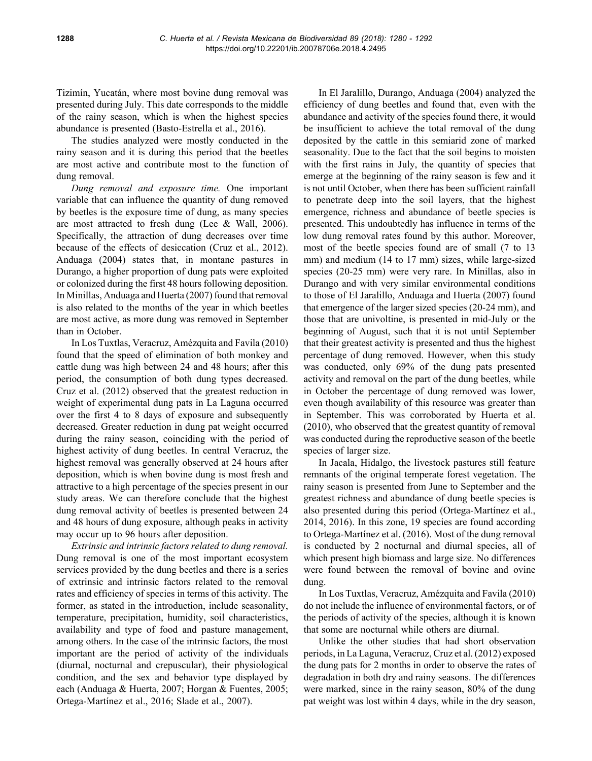Tizimín, Yucatán, where most bovine dung removal was presented during July. This date corresponds to the middle of the rainy season, which is when the highest species abundance is presented (Basto-Estrella et al., 2016).

The studies analyzed were mostly conducted in the rainy season and it is during this period that the beetles are most active and contribute most to the function of dung removal.

*Dung removal and exposure time.* One important variable that can influence the quantity of dung removed by beetles is the exposure time of dung, as many species are most attracted to fresh dung (Lee & Wall, 2006). Specifically, the attraction of dung decreases over time because of the effects of desiccation (Cruz et al., 2012). Anduaga (2004) states that, in montane pastures in Durango, a higher proportion of dung pats were exploited or colonized during the first 48 hours following deposition. In Minillas, Anduaga and Huerta (2007) found that removal is also related to the months of the year in which beetles are most active, as more dung was removed in September than in October.

In Los Tuxtlas, Veracruz, Amézquita and Favila (2010) found that the speed of elimination of both monkey and cattle dung was high between 24 and 48 hours; after this period, the consumption of both dung types decreased. Cruz et al. (2012) observed that the greatest reduction in weight of experimental dung pats in La Laguna occurred over the first 4 to 8 days of exposure and subsequently decreased. Greater reduction in dung pat weight occurred during the rainy season, coinciding with the period of highest activity of dung beetles. In central Veracruz, the highest removal was generally observed at 24 hours after deposition, which is when bovine dung is most fresh and attractive to a high percentage of the species present in our study areas. We can therefore conclude that the highest dung removal activity of beetles is presented between 24 and 48 hours of dung exposure, although peaks in activity may occur up to 96 hours after deposition.

*Extrinsic and intrinsic factors related to dung removal.*  Dung removal is one of the most important ecosystem services provided by the dung beetles and there is a series of extrinsic and intrinsic factors related to the removal rates and efficiency of species in terms of this activity. The former, as stated in the introduction, include seasonality, temperature, precipitation, humidity, soil characteristics, availability and type of food and pasture management, among others. In the case of the intrinsic factors, the most important are the period of activity of the individuals (diurnal, nocturnal and crepuscular), their physiological condition, and the sex and behavior type displayed by each (Anduaga & Huerta, 2007; Horgan & Fuentes, 2005; Ortega-Martínez et al., 2016; Slade et al., 2007).

In El Jaralillo, Durango, Anduaga (2004) analyzed the efficiency of dung beetles and found that, even with the abundance and activity of the species found there, it would be insufficient to achieve the total removal of the dung deposited by the cattle in this semiarid zone of marked seasonality. Due to the fact that the soil begins to moisten with the first rains in July, the quantity of species that emerge at the beginning of the rainy season is few and it is not until October, when there has been sufficient rainfall to penetrate deep into the soil layers, that the highest emergence, richness and abundance of beetle species is presented. This undoubtedly has influence in terms of the low dung removal rates found by this author. Moreover, most of the beetle species found are of small (7 to 13 mm) and medium (14 to 17 mm) sizes, while large-sized species (20-25 mm) were very rare. In Minillas, also in Durango and with very similar environmental conditions to those of El Jaralillo, Anduaga and Huerta (2007) found that emergence of the larger sized species (20-24 mm), and those that are univoltine, is presented in mid-July or the beginning of August, such that it is not until September that their greatest activity is presented and thus the highest percentage of dung removed. However, when this study was conducted, only 69% of the dung pats presented activity and removal on the part of the dung beetles, while in October the percentage of dung removed was lower, even though availability of this resource was greater than in September. This was corroborated by Huerta et al. (2010), who observed that the greatest quantity of removal was conducted during the reproductive season of the beetle species of larger size.

In Jacala, Hidalgo, the livestock pastures still feature remnants of the original temperate forest vegetation. The rainy season is presented from June to September and the greatest richness and abundance of dung beetle species is also presented during this period (Ortega-Martínez et al., 2014, 2016). In this zone, 19 species are found according to Ortega-Martínez et al. (2016). Most of the dung removal is conducted by 2 nocturnal and diurnal species, all of which present high biomass and large size. No differences were found between the removal of bovine and ovine dung.

In Los Tuxtlas, Veracruz, Amézquita and Favila (2010) do not include the influence of environmental factors, or of the periods of activity of the species, although it is known that some are nocturnal while others are diurnal.

Unlike the other studies that had short observation periods, in La Laguna, Veracruz, Cruz et al. (2012) exposed the dung pats for 2 months in order to observe the rates of degradation in both dry and rainy seasons. The differences were marked, since in the rainy season, 80% of the dung pat weight was lost within 4 days, while in the dry season,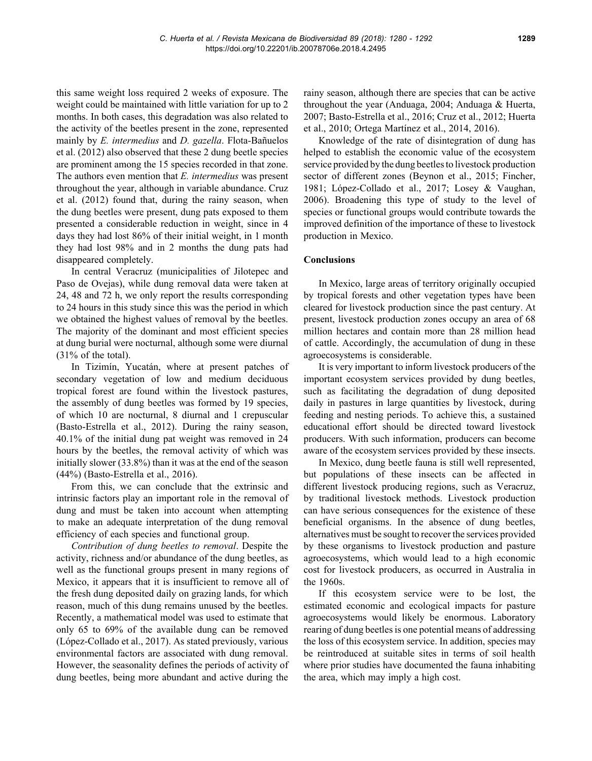this same weight loss required 2 weeks of exposure. The weight could be maintained with little variation for up to 2 months. In both cases, this degradation was also related to the activity of the beetles present in the zone, represented mainly by *E. intermedius* and *D. gazella*. Flota-Bañuelos et al. (2012) also observed that these 2 dung beetle species are prominent among the 15 species recorded in that zone. The authors even mention that *E. intermedius* was present throughout the year, although in variable abundance. Cruz et al. (2012) found that, during the rainy season, when the dung beetles were present, dung pats exposed to them presented a considerable reduction in weight, since in 4 days they had lost 86% of their initial weight, in 1 month they had lost 98% and in 2 months the dung pats had disappeared completely.

In central Veracruz (municipalities of Jilotepec and Paso de Ovejas), while dung removal data were taken at 24, 48 and 72 h, we only report the results corresponding to 24 hours in this study since this was the period in which we obtained the highest values of removal by the beetles. The majority of the dominant and most efficient species at dung burial were nocturnal, although some were diurnal  $(31\% \text{ of the total}).$ 

In Tizimín, Yucatán, where at present patches of secondary vegetation of low and medium deciduous tropical forest are found within the livestock pastures, the assembly of dung beetles was formed by 19 species, of which 10 are nocturnal, 8 diurnal and 1 crepuscular (Basto-Estrella et al., 2012). During the rainy season, 40.1% of the initial dung pat weight was removed in 24 hours by the beetles, the removal activity of which was initially slower (33.8%) than it was at the end of the season (44%) (Basto-Estrella et al., 2016).

From this, we can conclude that the extrinsic and intrinsic factors play an important role in the removal of dung and must be taken into account when attempting to make an adequate interpretation of the dung removal efficiency of each species and functional group.

*Contribution of dung beetles to removal*. Despite the activity, richness and/or abundance of the dung beetles, as well as the functional groups present in many regions of Mexico, it appears that it is insufficient to remove all of the fresh dung deposited daily on grazing lands, for which reason, much of this dung remains unused by the beetles. Recently, a mathematical model was used to estimate that only 65 to 69% of the available dung can be removed (López-Collado et al., 2017). As stated previously, various environmental factors are associated with dung removal. However, the seasonality defines the periods of activity of dung beetles, being more abundant and active during the

rainy season, although there are species that can be active throughout the year (Anduaga, 2004; Anduaga & Huerta, 2007; Basto-Estrella et al., 2016; Cruz et al., 2012; Huerta et al., 2010; Ortega Martínez et al., 2014, 2016).

Knowledge of the rate of disintegration of dung has helped to establish the economic value of the ecosystem service provided by the dung beetles to livestock production sector of different zones (Beynon et al., 2015; Fincher, 1981; López-Collado et al., 2017; Losey & Vaughan, 2006). Broadening this type of study to the level of species or functional groups would contribute towards the improved definition of the importance of these to livestock production in Mexico.

## **Conclusions**

In Mexico, large areas of territory originally occupied by tropical forests and other vegetation types have been cleared for livestock production since the past century. At present, livestock production zones occupy an area of 68 million hectares and contain more than 28 million head of cattle. Accordingly, the accumulation of dung in these agroecosystems is considerable.

It is very important to inform livestock producers of the important ecosystem services provided by dung beetles, such as facilitating the degradation of dung deposited daily in pastures in large quantities by livestock, during feeding and nesting periods. To achieve this, a sustained educational effort should be directed toward livestock producers. With such information, producers can become aware of the ecosystem services provided by these insects.

In Mexico, dung beetle fauna is still well represented, but populations of these insects can be affected in different livestock producing regions, such as Veracruz, by traditional livestock methods. Livestock production can have serious consequences for the existence of these beneficial organisms. In the absence of dung beetles, alternatives must be sought to recover the services provided by these organisms to livestock production and pasture agroecosystems, which would lead to a high economic cost for livestock producers, as occurred in Australia in the 1960s.

If this ecosystem service were to be lost, the estimated economic and ecological impacts for pasture agroecosystems would likely be enormous. Laboratory rearing of dung beetles is one potential means of addressing the loss of this ecosystem service. In addition, species may be reintroduced at suitable sites in terms of soil health where prior studies have documented the fauna inhabiting the area, which may imply a high cost.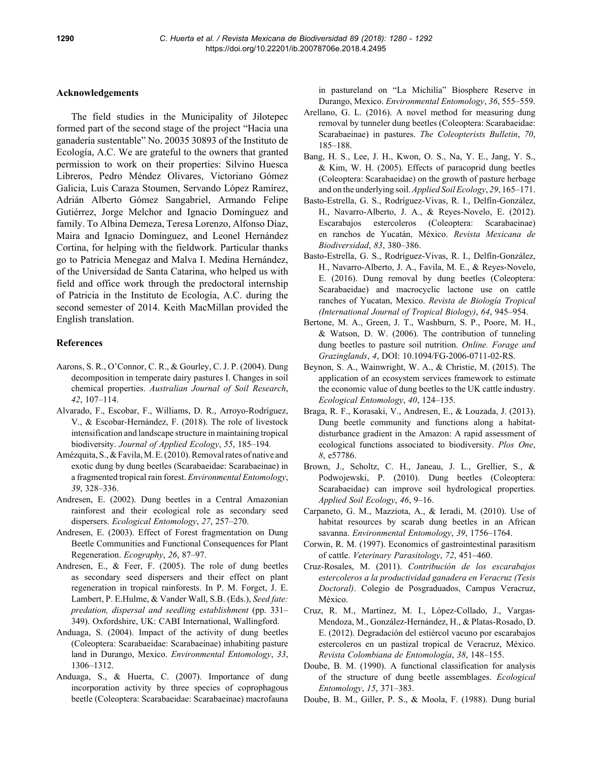## **Acknowledgements**

The field studies in the Municipality of Jilotepec formed part of the second stage of the project "Hacia una ganadería sustentable" No. 20035 30893 of the Instituto de Ecología, A.C. We are grateful to the owners that granted permission to work on their properties: Silvino Huesca Libreros, Pedro Méndez Olivares, Victoriano Gómez Galicia, Luis Caraza Stoumen, Servando López Ramírez, Adrián Alberto Gómez Sangabriel, Armando Felipe Gutiérrez, Jorge Melchor and Ignacio Domínguez and family. To Albina Demeza, Teresa Lorenzo, Alfonso Díaz, Maira and Ignacio Domínguez, and Leonel Hernández Cortina, for helping with the fieldwork. Particular thanks go to Patricia Menegaz and Malva I. Medina Hernández, of the Universidad de Santa Catarina, who helped us with field and office work through the predoctoral internship of Patricia in the Instituto de Ecología, A.C. during the second semester of 2014. Keith MacMillan provided the English translation.

### **References**

- Aarons, S. R., O'Connor, C. R., & Gourley, C. J. P. (2004). Dung decomposition in temperate dairy pastures I. Changes in soil chemical properties. *Australian Journal of Soil Research*, *42*, 107–114.
- Alvarado, F., Escobar, F., Williams, D. R., Arroyo-Rodríguez, V., & Escobar-Hernández, F. (2018). The role of livestock intensification and landscape structure in maintaining tropical biodiversity. *Journal of Applied Ecology*, *55*, 185–194*.*
- Amézquita, S., & Favila, M. E. (2010). Removal rates of native and exotic dung by dung beetles (Scarabaeidae: Scarabaeinae) in a fragmented tropical rain forest. *Environmental Entomology*, *39*, 328–336.
- Andresen, E. (2002). Dung beetles in a Central Amazonian rainforest and their ecological role as secondary seed dispersers. *Ecological Entomology*, *27*, 257–270.
- Andresen, E. (2003). Effect of Forest fragmentation on Dung Beetle Communities and Functional Consequences for Plant Regeneration. *Ecography*, *26*, 87–97.
- Andresen, E., & Feer, F. (2005). The role of dung beetles as secondary seed dispersers and their effect on plant regeneration in tropical rainforests. In P. M. Forget, J. E. Lambert, P. E.Hulme, & Vander Wall, S.B. (Eds.), *Seed fate: predation, dispersal and seedling establishment* (pp. 331– 349). Oxfordshire, UK: CABI International, Wallingford.
- Anduaga, S. (2004). Impact of the activity of dung beetles (Coleoptera: Scarabaeidae: Scarabaeinae) inhabiting pasture land in Durango, Mexico. *Environmental Entomology*, *33*, 1306–1312.
- Anduaga, S., & Huerta, C. (2007). Importance of dung incorporation activity by three species of coprophagous beetle (Coleoptera: Scarabaeidae: Scarabaeinae) macrofauna

in pastureland on "La Michilía" Biosphere Reserve in Durango, Mexico. *Environmental Entomology*, *36*, 555–559.

- Arellano, G. L. (2016). A novel method for measuring dung removal by tunneler dung beetles (Coleoptera: Scarabaeidae: Scarabaeinae) in pastures. *The Coleopterists Bulletin*, *70*, 185–188.
- Bang, H. S., Lee, J. H., Kwon, O. S., Na, Y. E., Jang, Y. S., & Kim, W. H. (2005). Effects of paracoprid dung beetles (Coleoptera: Scarabaeidae) on the growth of pasture herbage and on the underlying soil. *Applied Soil Ecology*, *29*, 165–171.
- Basto-Estrella, G. S., Rodríguez-Vivas, R. I., Delfín-González, H., Navarro-Alberto, J. A., & Reyes-Novelo, E. (2012). Escarabajos estercoleros (Coleoptera: Scarabaeinae) en ranchos de Yucatán, México. *Revista Mexicana de Biodiversidad*, *83*, 380–386.
- Basto-Estrella, G. S., Rodríguez-Vivas, R. I., Delfín-González, H., Navarro-Alberto, J. A., Favila, M. E., & Reyes-Novelo, E. (2016). Dung removal by dung beetles (Coleoptera: Scarabaeidae) and macrocyclic lactone use on cattle ranches of Yucatan, Mexico. *Revista de Biología Tropical (International Journal of Tropical Biology)*, *64*, 945–954.
- Bertone, M. A., Green, J. T., Washburn, S. P., Poore, M. H., & Watson, D. W. (2006). The contribution of tunneling dung beetles to pasture soil nutrition. *Online. Forage and Grazinglands*, *4*, DOI: 10.1094/FG-2006-0711-02-RS.
- Beynon, S. A., Wainwright, W. A., & Christie, M. (2015). The application of an ecosystem services framework to estimate the economic value of dung beetles to the UK cattle industry. *Ecological Entomology*, *40*, 124–135.
- Braga, R. F., Korasaki, V., Andresen, E., & Louzada, J. (2013). Dung beetle community and functions along a habitatdisturbance gradient in the Amazon: A rapid assessment of ecological functions associated to biodiversity. *Plos One*, *8*, e57786.
- Brown, J., Scholtz, C. H., Janeau, J. L., Grellier, S., & Podwojewski, P. (2010). Dung beetles (Coleoptera: Scarabaeidae) can improve soil hydrological properties. *Applied Soil Ecology*, *46*, 9–16.
- Carpaneto, G. M., Mazziota, A., & Ieradi, M. (2010). Use of habitat resources by scarab dung beetles in an African savanna. *Environmental Entomology*, *39*, 1756–1764.
- Corwin, R. M. (1997). Economics of gastrointestinal parasitism of cattle. *Veterinary Parasitology*, *72*, 451–460.
- Cruz-Rosales, M. (2011). *Contribución de los escarabajos estercoleros a la productividad ganadera en Veracruz (Tesis Doctoral)*. Colegio de Posgraduados, Campus Veracruz, México.
- Cruz, R. M., Martínez, M. I., López-Collado, J., Vargas-Mendoza, M., González-Hernández, H., & Platas-Rosado, D. E. (2012). Degradación del estiércol vacuno por escarabajos estercoleros en un pastizal tropical de Veracruz, México. *Revista Colombiana de Entomología*, *38*, 148–155.
- Doube, B. M. (1990). A functional classification for analysis of the structure of dung beetle assemblages. *Ecological Entomology*, *15*, 371–383.
- Doube, B. M., Giller, P. S., & Moola, F. (1988). Dung burial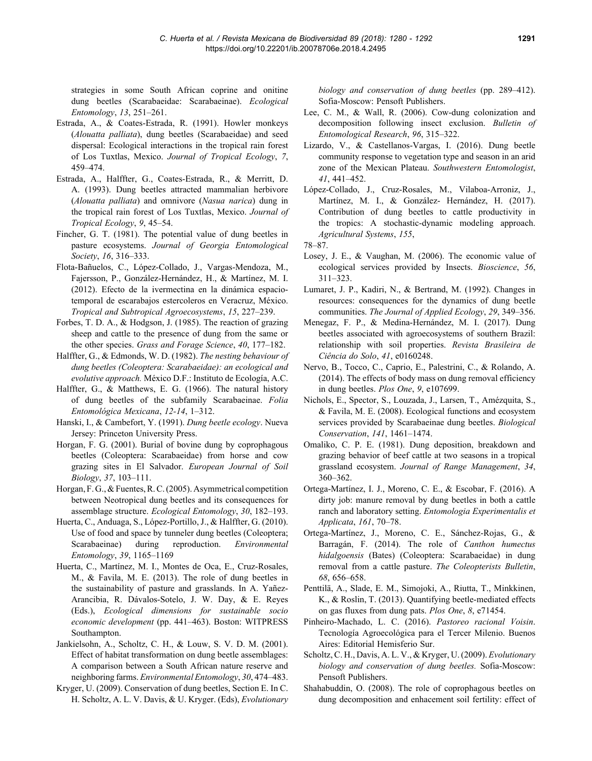strategies in some South African coprine and onitine dung beetles (Scarabaeidae: Scarabaeinae). *Ecological Entomology*, *13*, 251–261.

- Estrada, A., & Coates-Estrada, R. (1991). Howler monkeys (*Alouatta palliata*), dung beetles (Scarabaeidae) and seed dispersal: Ecological interactions in the tropical rain forest of Los Tuxtlas, Mexico. *Journal of Tropical Ecology*, *7*, 459–474.
- Estrada, A., Halffter, G., Coates-Estrada, R., & Merritt, D. A. (1993). Dung beetles attracted mammalian herbivore (*Alouatta palliata*) and omnivore (*Nasua narica*) dung in the tropical rain forest of Los Tuxtlas, Mexico. *Journal of Tropical Ecology*, *9*, 45–54.
- Fincher, G. T. (1981). The potential value of dung beetles in pasture ecosystems. *Journal of Georgia Entomological Society*, *16*, 316–333.
- Flota-Bañuelos, C., López-Collado, J., Vargas-Mendoza, M., Fajersson, P., González-Hernández, H., & Martínez, M. I. (2012). Efecto de la ivermectina en la dinámica espaciotemporal de escarabajos estercoleros en Veracruz, México. *Tropical and Subtropical Agroecosystems*, *15*, 227–239.
- Forbes, T. D. A., & Hodgson, J. (1985). The reaction of grazing sheep and cattle to the presence of dung from the same or the other species. *Grass and Forage Science*, *40*, 177–182.
- Halffter, G., & Edmonds, W. D. (1982). *The nesting behaviour of dung beetles (Coleoptera: Scarabaeidae): an ecological and evolutive approach.* México D.F.: Instituto de Ecología, A.C.
- Halffter, G., & Matthews, E. G. (1966). The natural history of dung beetles of the subfamily Scarabaeinae. *Folia Entomológica Mexicana*, *12-14*, 1–312.
- Hanski, I., & Cambefort, Y. (1991). *Dung beetle ecology*. Nueva Jersey: Princeton University Press.
- Horgan, F. G. (2001). Burial of bovine dung by coprophagous beetles (Coleoptera: Scarabaeidae) from horse and cow grazing sites in El Salvador. *European Journal of Soil Biology*, *37*, 103–111.
- Horgan, F. G., & Fuentes, R. C. (2005). Asymmetrical competition between Neotropical dung beetles and its consequences for assemblage structure. *Ecological Entomology*, *30*, 182–193.
- Huerta, C., Anduaga, S., López-Portillo, J., & Halffter, G. (2010). Use of food and space by tunneler dung beetles (Coleoptera; Scarabaeinae) during reproduction. *Environmental Entomology*, *39*, 1165–1169
- Huerta, C., Martínez, M. I., Montes de Oca, E., Cruz-Rosales, M., & Favila, M. E. (2013). The role of dung beetles in the sustainability of pasture and grasslands. In A. Yañez-Arancibia, R. Dávalos-Sotelo, J. W. Day, & E. Reyes (Eds.), *Ecological dimensions for sustainable socio economic development* (pp. 441–463). Boston: WITPRESS Southampton.
- Jankielsohn, A., Scholtz, C. H., & Louw, S. V. D. M. (2001). Effect of habitat transformation on dung beetle assemblages: A comparison between a South African nature reserve and neighboring farms. *Environmental Entomology*, *30*, 474–483.
- Kryger, U. (2009). Conservation of dung beetles, Section E. In C. H. Scholtz, A. L. V. Davis, & U. Kryger. (Eds), *Evolutionary*

*biology and conservation of dung beetles* (pp. 289–412). Sofia-Moscow: Pensoft Publishers.

- Lee, C. M., & Wall, R. (2006). Cow-dung colonization and decomposition following insect exclusion. *Bulletin of Entomological Research*, *96*, 315–322.
- Lizardo, V., & Castellanos-Vargas, I. (2016). Dung beetle community response to vegetation type and season in an arid zone of the Mexican Plateau. *Southwestern Entomologist*, *41*, 441–452.
- López-Collado, J., Cruz-Rosales, M., Vilaboa-Arroniz, J., Martínez, M. I., & González- Hernández, H. (2017). Contribution of dung beetles to cattle productivity in the tropics: A stochastic-dynamic modeling approach. *Agricultural Systems*, *155*,
- 78–87.
- Losey, J. E., & Vaughan, M. (2006). The economic value of ecological services provided by Insects. *Bioscience*, *56*, 311–323.
- Lumaret, J. P., Kadiri, N., & Bertrand, M. (1992). Changes in resources: consequences for the dynamics of dung beetle communities. *The Journal of Applied Ecology*, *29*, 349–356.
- Menegaz, F. P., & Medina-Hernández, M. I. (2017). Dung beetles associated with agroecosystems of southern Brazil: relationship with soil properties. *Revista Brasileira de Ciência do Solo*, *41*, e0160248.
- Nervo, B., Tocco, C., Caprio, E., Palestrini, C., & Rolando, A. (2014). The effects of body mass on dung removal efficiency in dung beetles. *Plos One*, *9*, e107699.
- Nichols, E., Spector, S., Louzada, J., Larsen, T., Amézquita, S., & Favila, M. E. (2008). Ecological functions and ecosystem services provided by Scarabaeinae dung beetles. *Biological Conservation*, *141*, 1461–1474.
- Omaliko, C. P. E. (1981). Dung deposition, breakdown and grazing behavior of beef cattle at two seasons in a tropical grassland ecosystem. *Journal of Range Management*, *34*, 360–362.
- Ortega-Martínez, I. J., Moreno, C. E., & Escobar, F. (2016). A dirty job: manure removal by dung beetles in both a cattle ranch and laboratory setting. *Entomologia Experimentalis et Applicata*, *161*, 70–78.
- Ortega-Martínez, J., Moreno, C. E., Sánchez-Rojas, G., & Barragán, F. (2014). The role of *Canthon humectus hidalgoensis* (Bates) (Coleoptera: Scarabaeidae) in dung removal from a cattle pasture. *The Coleopterists Bulletin*, *68*, 656–658.
- Penttilä, A., Slade, E. M., Simojoki, A., Riutta, T., Minkkinen, K., & Roslin, T. (2013). Quantifying beetle-mediated effects on gas fluxes from dung pats. *Plos One*, *8*, e71454.
- Pinheiro-Machado, L. C. (2016). *Pastoreo racional Voisin*. Tecnología Agroecológica para el Tercer Milenio. Buenos Aires: Editorial Hemisferio Sur.
- Scholtz, C. H., Davis, A. L. V., & Kryger, U. (2009). *Evolutionary biology and conservation of dung beetles.* Sofia-Moscow: Pensoft Publishers.
- Shahabuddin, O. (2008). The role of coprophagous beetles on dung decomposition and enhacement soil fertility: effect of